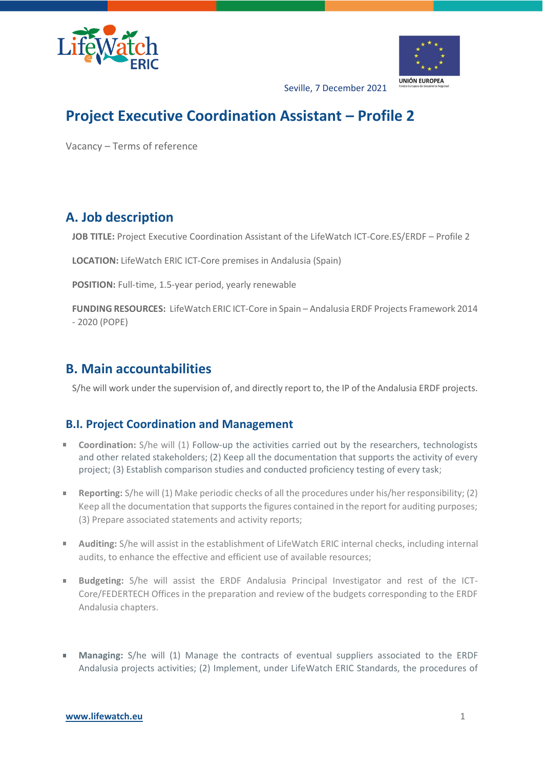



Seville, 7 December 2021

# **Project Executive Coordination Assistant – Profile 2**

Vacancy – Terms of reference

## **A. Job description**

**JOB TITLE:** Project Executive Coordination Assistant of the LifeWatch ICT-Core.ES/ERDF – Profile 2

**LOCATION:** LifeWatch ERIC ICT-Core premises in Andalusia (Spain)

**POSITION:** Full-time, 1.5-year period, yearly renewable

**FUNDING RESOURCES:** LifeWatch ERIC ICT-Core in Spain – Andalusia ERDF Projects Framework 2014 - 2020 (POPE)

### **B. Main accountabilities**

S/he will work under the supervision of, and directly report to, the IP of the Andalusia ERDF projects.

### **B.I. Project Coordination and Management**

- **Coordination:** S/he will (1) Follow-up the activities carried out by the researchers, technologists a. and other related stakeholders; (2) Keep all the documentation that supports the activity of every project; (3) Establish comparison studies and conducted proficiency testing of every task;
- **Reporting:** S/he will (1) Make periodic checks of all the procedures under his/her responsibility; (2)  $\mathbf{u}$ Keep all the documentation that supports the figures contained in the report for auditing purposes; (3) Prepare associated statements and activity reports;
- **Auditing:** S/he will assist in the establishment of LifeWatch ERIC internal checks, including internal audits, to enhance the effective and efficient use of available resources;
- **Budgeting:** S/he will assist the ERDF Andalusia Principal Investigator and rest of the ICT-Core/FEDERTECH Offices in the preparation and review of the budgets corresponding to the ERDF Andalusia chapters.
- **Managing:** S/he will (1) Manage the contracts of eventual suppliers associated to the ERDF Andalusia projects activities; (2) Implement, under LifeWatch ERIC Standards, the procedures of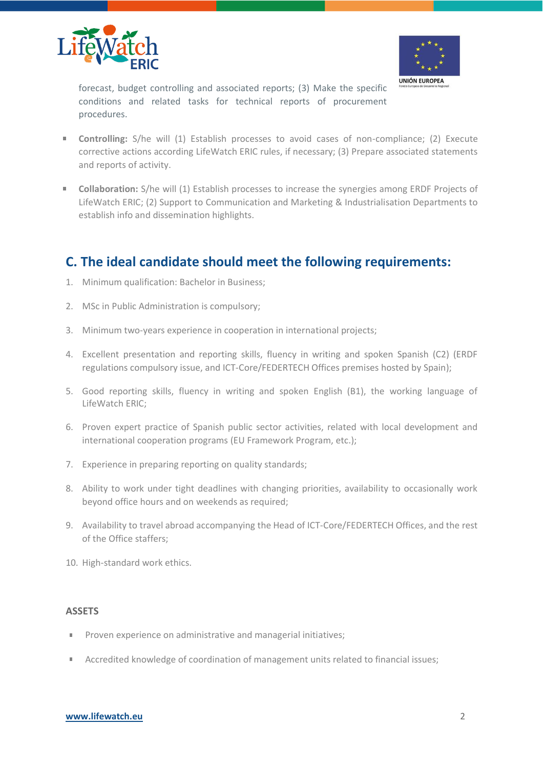



forecast, budget controlling and associated reports; (3) Make the specific conditions and related tasks for technical reports of procurement procedures.

- **Controlling:** S/he will (1) Establish processes to avoid cases of non-compliance; (2) Execute corrective actions according LifeWatch ERIC rules, if necessary; (3) Prepare associated statements and reports of activity.
- **Collaboration:** S/he will (1) Establish processes to increase the synergies among ERDF Projects of  $\mathbf{m}$  . LifeWatch ERIC; (2) Support to Communication and Marketing & Industrialisation Departments to establish info and dissemination highlights.

### **C. The ideal candidate should meet the following requirements:**

- 1. Minimum qualification: Bachelor in Business;
- 2. MSc in Public Administration is compulsory;
- 3. Minimum two-years experience in cooperation in international projects;
- 4. Excellent presentation and reporting skills, fluency in writing and spoken Spanish (C2) (ERDF regulations compulsory issue, and ICT-Core/FEDERTECH Offices premises hosted by Spain);
- 5. Good reporting skills, fluency in writing and spoken English (B1), the working language of LifeWatch ERIC;
- 6. Proven expert practice of Spanish public sector activities, related with local development and international cooperation programs (EU Framework Program, etc.);
- 7. Experience in preparing reporting on quality standards;
- 8. Ability to work under tight deadlines with changing priorities, availability to occasionally work beyond office hours and on weekends as required;
- 9. Availability to travel abroad accompanying the Head of ICT-Core/FEDERTECH Offices, and the rest of the Office staffers;
- 10. High-standard work ethics.

#### **ASSETS**

- Proven experience on administrative and managerial initiatives;  $\mathbf{u}$
- Accredited knowledge of coordination of management units related to financial issues; π.